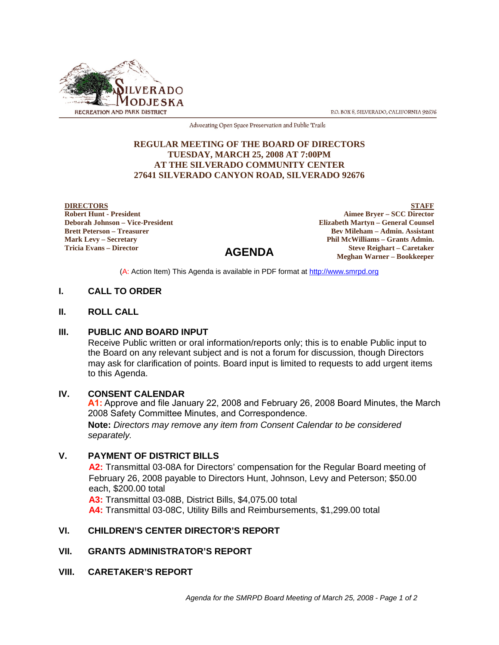

P.O. BOX 8, SILVERADO, CALIFORNIA 92676

Advocating Open Space Preservation and Public Trails

#### **REGULAR MEETING OF THE BOARD OF DIRECTORS TUESDAY, MARCH 25, 2008 AT 7:00PM AT THE SILVERADO COMMUNITY CENTER 27641 SILVERADO CANYON ROAD, SILVERADO 92676**

**DIRECTORS Robert Hunt - President Deborah Johnson – Vice-President Brett Peterson – Treasurer Mark Levy – Secretary Tricia Evans – Director**

**STAFF Aimee Bryer – SCC Director Elizabeth Martyn – General Counsel**

#### **Bev Mileham – Admin. Assistant Phil McWilliams – Grants Admin. Steve Reighart – Caretaker Meghan Warner – Bookkeeper**

(A: Action Item) This Agenda is available in PDF format at http://www.smrpd.org

**AGENDA**

#### **I. CALL TO ORDER**

#### **II. ROLL CALL**

#### **III. PUBLIC AND BOARD INPUT**

Receive Public written or oral information/reports only; this is to enable Public input to the Board on any relevant subject and is not a forum for discussion, though Directors may ask for clarification of points. Board input is limited to requests to add urgent items to this Agenda.

#### **IV. CONSENT CALENDAR**

**Note:** *Directors may remove any item from Consent Calendar to be considered*  **A1:** Approve and file January 22, 2008 and February 26, 2008 Board Minutes, the March 2008 Safety Committee Minutes, and Correspondence.

*separately.*

#### **V. PAYMENT OF DISTRICT BILLS**

**A2:** Transmittal 03-08A for Directors' compensation for the Regular Board meeting of February 26, 2008 payable to Directors Hunt, Johnson, Levy and Peterson; \$50.00 each, \$200.00 total

**A3:** Transmittal 03-08B, District Bills, \$4,075.00 total

**A4:** Transmittal 03-08C, Utility Bills and Reimbursements, \$1,299.00 total

## **VI. CHILDREN'S CENTER DIRECTOR'S REPORT**

#### **VII. GRANTS ADMINISTRATOR'S REPORT**

**VIII. CARETAKER'S REPORT**